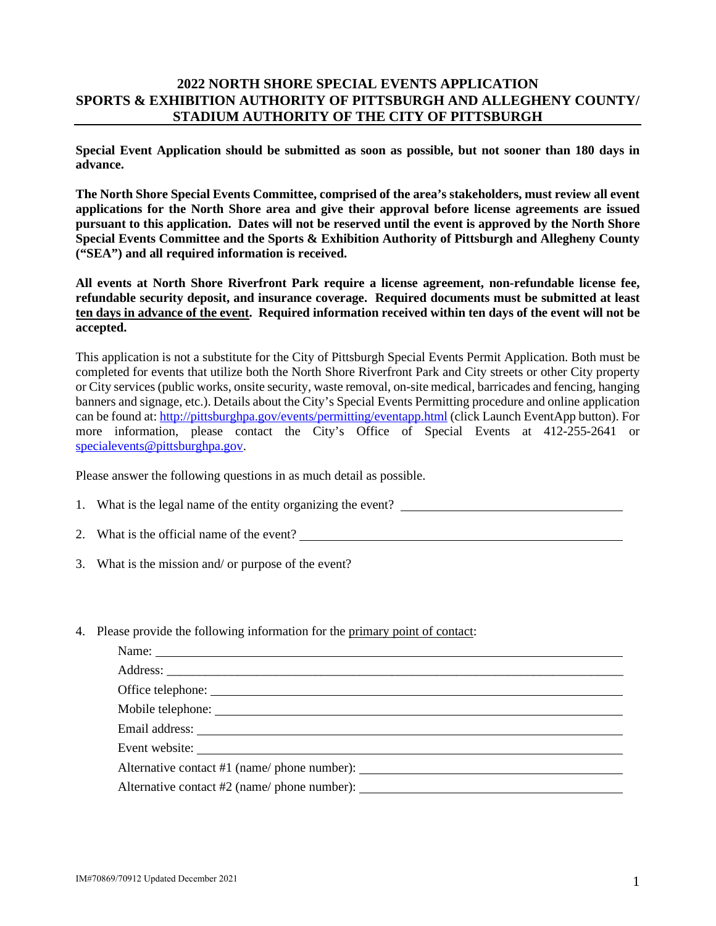## **2022 NORTH SHORE SPECIAL EVENTS APPLICATION SPORTS & EXHIBITION AUTHORITY OF PITTSBURGH AND ALLEGHENY COUNTY/ STADIUM AUTHORITY OF THE CITY OF PITTSBURGH**

**Special Event Application should be submitted as soon as possible, but not sooner than 180 days in advance.** 

**The North Shore Special Events Committee, comprised of the area's stakeholders, must review all event applications for the North Shore area and give their approval before license agreements are issued pursuant to this application. Dates will not be reserved until the event is approved by the North Shore Special Events Committee and the Sports & Exhibition Authority of Pittsburgh and Allegheny County ("SEA") and all required information is received.** 

**All events at North Shore Riverfront Park require a license agreement, non-refundable license fee, refundable security deposit, and insurance coverage. Required documents must be submitted at least ten days in advance of the event. Required information received within ten days of the event will not be accepted.** 

This application is not a substitute for the City of Pittsburgh Special Events Permit Application. Both must be completed for events that utilize both the North Shore Riverfront Park and City streets or other City property or City services (public works, onsite security, waste removal, on-site medical, barricades and fencing, hanging banners and signage, etc.). Details about the City's Special Events Permitting procedure and online application can be found at[: http://pittsburghpa.gov/events/permitting/eventapp.html](http://pittsburghpa.gov/events/permitting/eventapp.html) (click Launch EventApp button). For more information, please contact the City's Office of Special Events at 412-255-2641 or [specialevents@pittsburghpa.gov.](mailto:specialevents@pittsburghpa.gov)

Please answer the following questions in as much detail as possible.

- 1. What is the legal name of the entity organizing the event?
- 2. What is the official name of the event?
- 3. What is the mission and/ or purpose of the event?
- 4. Please provide the following information for the primary point of contact:

| Office telephone: |
|-------------------|
|                   |
|                   |
| Event website:    |
|                   |
|                   |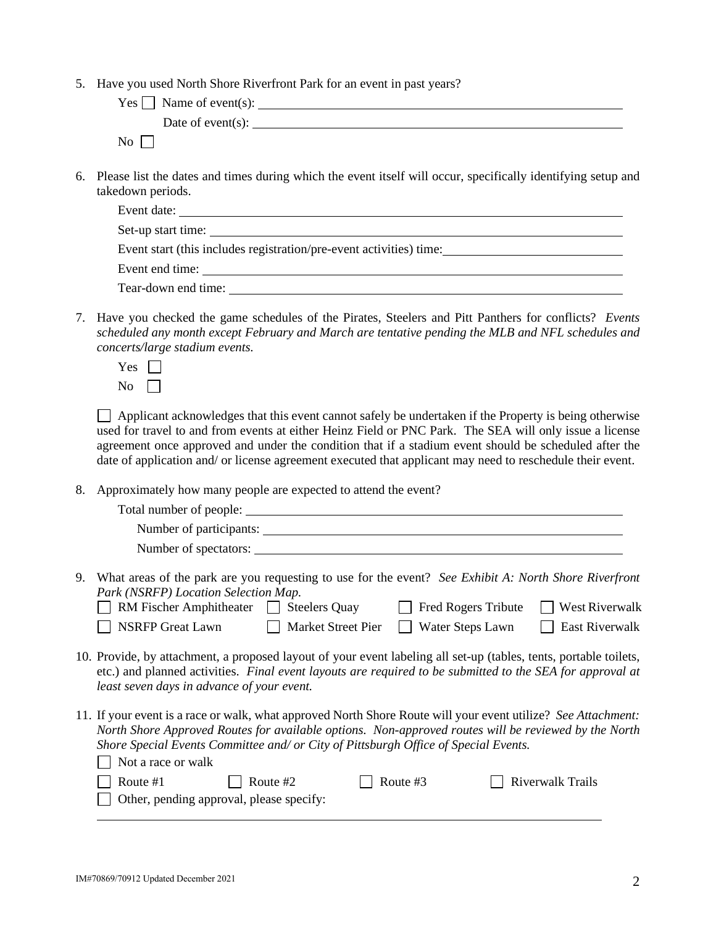5. Have you used North Shore Riverfront Park for an event in past years?

| $Yes \Box$ Name of event(s):                                                                                                         |
|--------------------------------------------------------------------------------------------------------------------------------------|
| Date of event(s):                                                                                                                    |
| $\overline{N_0}$                                                                                                                     |
| 6. Please list the dates and times during which the event itself will occur, specifically identifying setup and<br>takedown periods. |

| Event date:                                                         |
|---------------------------------------------------------------------|
|                                                                     |
| Event start (this includes registration/pre-event activities) time: |
|                                                                     |
| Tear-down end time:                                                 |

- 7. Have you checked the game schedules of the Pirates, Steelers and Pitt Panthers for conflicts? *Events scheduled any month except February and March are tentative pending the MLB and NFL schedules and concerts/large stadium events.*
	- Yes  $\Box$  $No \ \ \Box$

 Applicant acknowledges that this event cannot safely be undertaken if the Property is being otherwise used for travel to and from events at either Heinz Field or PNC Park. The SEA will only issue a license agreement once approved and under the condition that if a stadium event should be scheduled after the date of application and/ or license agreement executed that applicant may need to reschedule their event.

8. Approximately how many people are expected to attend the event?

|    | Number of participants:                                                                                                                                                                                                                                                                                                                 |
|----|-----------------------------------------------------------------------------------------------------------------------------------------------------------------------------------------------------------------------------------------------------------------------------------------------------------------------------------------|
|    | Number of spectators:                                                                                                                                                                                                                                                                                                                   |
| 9. | What areas of the park are you requesting to use for the event? See Exhibit A: North Shore Riverfront<br>Park (NSRFP) Location Selection Map.<br><b>West Riverwalk</b><br>RM Fischer Amphitheater<br><b>Fred Rogers Tribute</b><br><b>Steelers Quay</b><br>NSRFP Great Lawn<br>East Riverwalk<br>Market Street Pier<br>Water Steps Lawn |
|    | 10. Provide, by attachment, a proposed layout of your event labeling all set-up (tables, tents, portable toilets,<br>etc.) and planned activities. Final event layouts are required to be submitted to the SEA for approval at<br>least seven days in advance of your event.                                                            |
|    | 11. If your event is a race or walk, what approved North Shore Route will your event utilize? See Attachment:<br>North Shore Approved Routes for available options. Non-approved routes will be reviewed by the North<br>Shore Special Events Committee and/ or City of Pittsburgh Office of Special Events.<br>Not a race or walk      |
|    | <b>Riverwalk Trails</b><br>Route #1<br>Route #3<br>Route #2<br>Other, pending approval, please specify:                                                                                                                                                                                                                                 |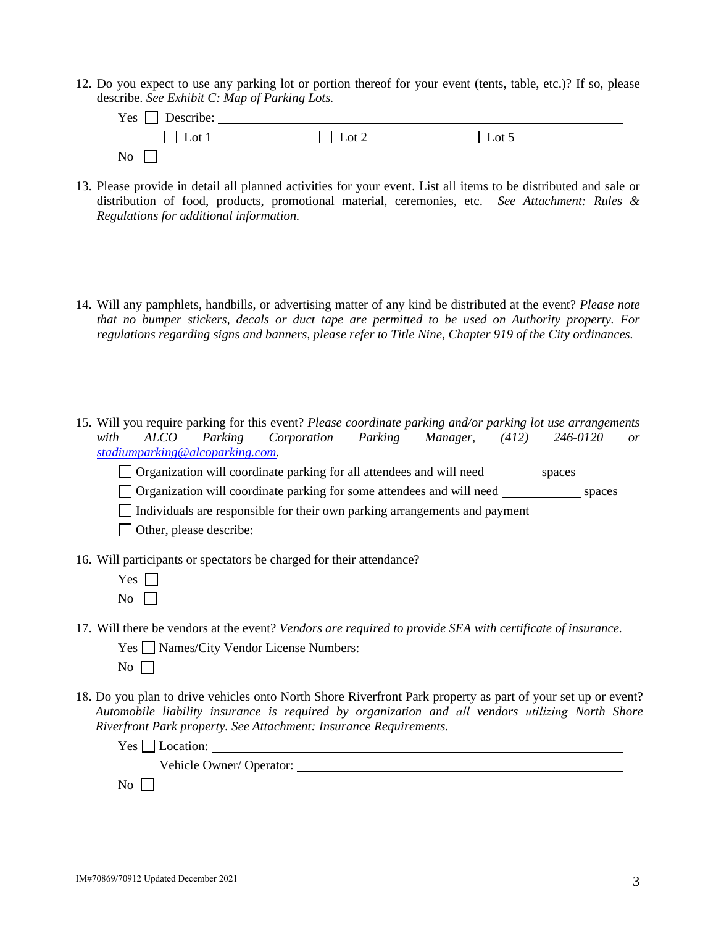12. Do you expect to use any parking lot or portion thereof for your event (tents, table, etc.)? If so, please describe. *See Exhibit C: Map of Parking Lots.*

| $Yes \Box$ Describe:                 |              |              |  |
|--------------------------------------|--------------|--------------|--|
| $\Box$ Lot 1                         | $\Box$ Lot 2 | $\Box$ Lot 5 |  |
| $\overline{N_{0}}$ $\overline{\Box}$ |              |              |  |

- 13. Please provide in detail all planned activities for your event. List all items to be distributed and sale or distribution of food, products, promotional material, ceremonies, etc. *See Attachment: Rules & Regulations for additional information.*
- 14. Will any pamphlets, handbills, or advertising matter of any kind be distributed at the event? *Please note that no bumper stickers, decals or duct tape are permitted to be used on Authority property. For regulations regarding signs and banners, please refer to Title Nine, Chapter 919 of the City ordinances.*

15. Will you require parking for this event? *Please coordinate parking and/or parking lot use arrangements with ALCO Parking Corporation Parking Manager, (412) 246-0120 or [stadiumparking@alcoparking.com.](mailto:stadiumparking@alcoparking.com)*

|  | Organization will coordinate parking for all attendees and will need_ | spaces |
|--|-----------------------------------------------------------------------|--------|
|  |                                                                       |        |

|  |  |  |  |  | $\Box$ Organization will coordinate parking for some attendees and will need | spaces |
|--|--|--|--|--|------------------------------------------------------------------------------|--------|
|--|--|--|--|--|------------------------------------------------------------------------------|--------|

 $\Box$  Individuals are responsible for their own parking arrangements and payment

□ Other, please describe:

16. Will participants or spectators be charged for their attendance?

- Yes  $\Box$  $\overline{N_0}$
- 17. Will there be vendors at the event? *Vendors are required to provide SEA with certificate of insurance.*

|           | Yes □ Names/City Vendor License Numbers: |
|-----------|------------------------------------------|
| No $\Box$ |                                          |

18. Do you plan to drive vehicles onto North Shore Riverfront Park property as part of your set up or event? *Automobile liability insurance is required by organization and all vendors utilizing North Shore Riverfront Park property. See Attachment: Insurance Requirements.*

Yes Location:

Vehicle Owner/ Operator:

 $\overline{N}$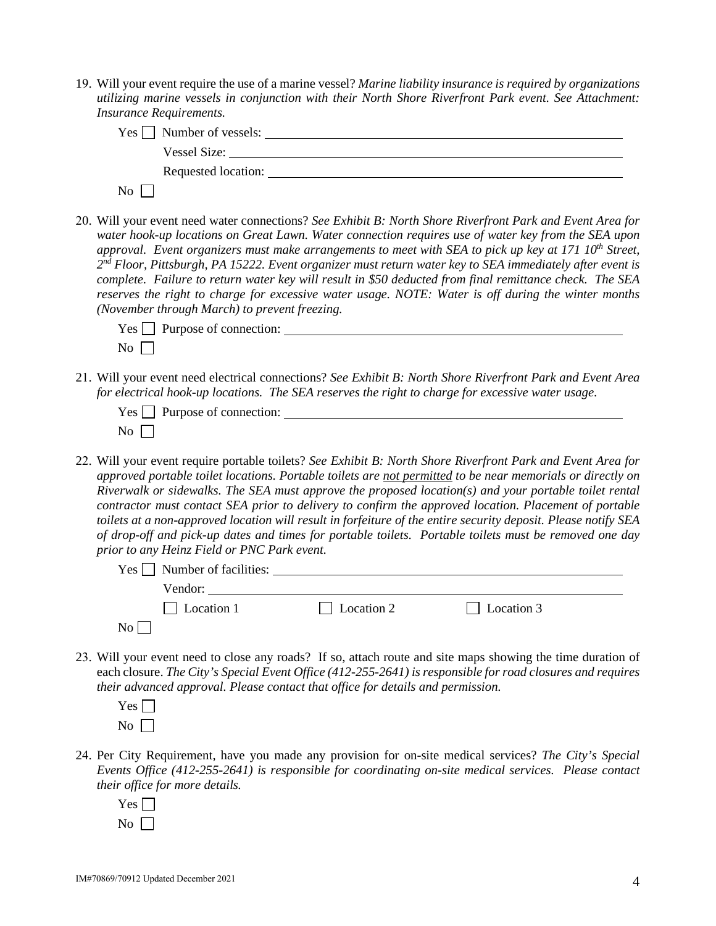19. Will your event require the use of a marine vessel? *Marine liability insurance is required by organizations utilizing marine vessels in conjunction with their North Shore Riverfront Park event. See Attachment: Insurance Requirements.*

| $Yes \frown$ Number of vessels: |  |
|---------------------------------|--|
| <b>Vessel Size:</b>             |  |
| Requested location:             |  |
| Nο                              |  |

20. Will your event need water connections? *See Exhibit B: North Shore Riverfront Park and Event Area for water hook-up locations on Great Lawn. Water connection requires use of water key from the SEA upon approval. Event organizers must make arrangements to meet with SEA to pick up key at 171 10<sup>th</sup> Street, 2nd Floor, Pittsburgh, PA 15222. Event organizer must return water key to SEA immediately after event is complete. Failure to return water key will result in \$50 deducted from final remittance check. The SEA reserves the right to charge for excessive water usage. NOTE: Water is off during the winter months (November through March) to prevent freezing.*

| $Yes \fbox{array}$ Purpose of connection: |  |
|-------------------------------------------|--|
| $\overline{N_{0}}$                        |  |

21. Will your event need electrical connections? *See Exhibit B: North Shore Riverfront Park and Event Area for electrical hook-up locations. The SEA reserves the right to charge for excessive water usage.*

| $Yes \fbox$ Purpose of connection: |  |
|------------------------------------|--|
| No $\Gamma$                        |  |

22. Will your event require portable toilets? *See Exhibit B: North Shore Riverfront Park and Event Area for approved portable toilet locations. Portable toilets are not permitted to be near memorials or directly on Riverwalk or sidewalks. The SEA must approve the proposed location(s) and your portable toilet rental contractor must contact SEA prior to delivery to confirm the approved location. Placement of portable toilets at a non-approved location will result in forfeiture of the entire security deposit. Please notify SEA of drop-off and pick-up dates and times for portable toilets. Portable toilets must be removed one day prior to any Heinz Field or PNC Park event.*

| $Yes \frown$ Number of facilities: |            |            |  |
|------------------------------------|------------|------------|--|
| Vendor:                            |            |            |  |
| $\Box$ Location 1                  | Location 2 | Location 3 |  |
| No                                 |            |            |  |

23. Will your event need to close any roads? If so, attach route and site maps showing the time duration of each closure. *The City's Special Event Office (412-255-2641) is responsible for road closures and requires their advanced approval. Please contact that office for details and permission.*

| ≓ |  |
|---|--|
|   |  |

- 24. Per City Requirement, have you made any provision for on-site medical services? *The City's Special Events Office (412-255-2641) is responsible for coordinating on-site medical services. Please contact their office for more details.*
	- $Yes \Box$  $\overline{N_0}$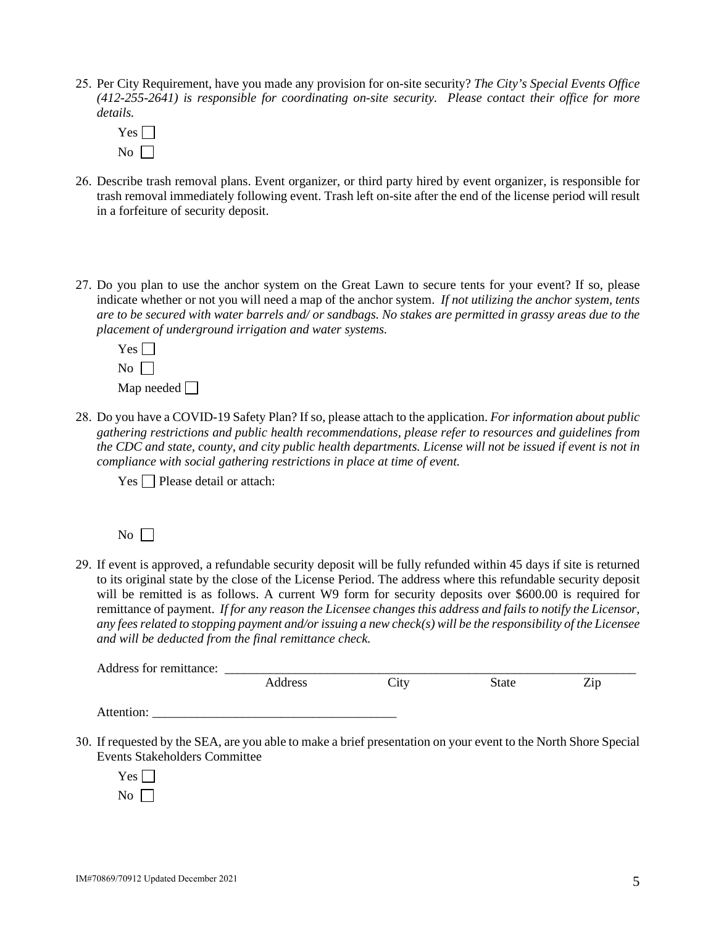- 25. Per City Requirement, have you made any provision for on-site security? *The City's Special Events Office (412-255-2641) is responsible for coordinating on-site security. Please contact their office for more details.*
	- $Yes \Box$  $\overline{N_0}$
- 26. Describe trash removal plans. Event organizer, or third party hired by event organizer, is responsible for trash removal immediately following event. Trash left on-site after the end of the license period will result in a forfeiture of security deposit.
- 27. Do you plan to use the anchor system on the Great Lawn to secure tents for your event? If so, please indicate whether or not you will need a map of the anchor system. *If not utilizing the anchor system, tents are to be secured with water barrels and/ or sandbags. No stakes are permitted in grassy areas due to the placement of underground irrigation and water systems.*
	- $Yes \Box$  $\overline{N_0}$   $\overline{\Box}$ Map needed  $\Box$
- 28. Do you have a COVID-19 Safety Plan? If so, please attach to the application. *For information about public gathering restrictions and public health recommendations, please refer to resources and guidelines from the CDC and state, county, and city public health departments. License will not be issued if event is not in compliance with social gathering restrictions in place at time of event.*

 $Yes \n\bigcap$  Please detail or attach:

 $No \ \Box$ 

29. If event is approved, a refundable security deposit will be fully refunded within 45 days if site is returned to its original state by the close of the License Period. The address where this refundable security deposit will be remitted is as follows. A current W9 form for security deposits over \$600.00 is required for remittance of payment. *If for any reason the Licensee changes this address and fails to notify the Licensor, any fees related to stopping payment and/or issuing a new check(s) will be the responsibility of the Licensee and will be deducted from the final remittance check.*

| Address for remittance: |         |      |       |     |  |
|-------------------------|---------|------|-------|-----|--|
|                         | Address | City | State | Zip |  |
| Attention:              |         |      |       |     |  |

- 30. If requested by the SEA, are you able to make a brief presentation on your event to the North Shore Special Events Stakeholders Committee
	- $Yes \Box$  $\overline{N_0}$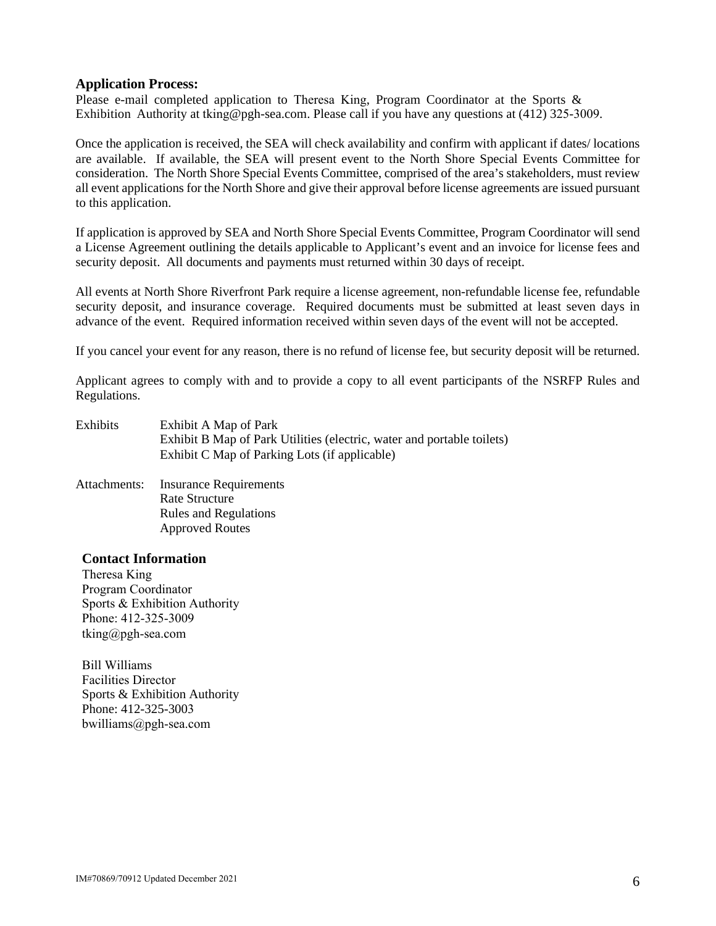#### **Application Process:**

Please e-mail completed application to Theresa King, Program Coordinator at the Sports & Exhibition Authority at tking@pgh-sea.com. Please call if you have any questions at (412) 325-3009.

Once the application is received, the SEA will check availability and confirm with applicant if dates/ locations are available. If available, the SEA will present event to the North Shore Special Events Committee for consideration. The North Shore Special Events Committee, comprised of the area's stakeholders, must review all event applications for the North Shore and give their approval before license agreements are issued pursuant to this application.

If application is approved by SEA and North Shore Special Events Committee, Program Coordinator will send a License Agreement outlining the details applicable to Applicant's event and an invoice for license fees and security deposit. All documents and payments must returned within 30 days of receipt.

All events at North Shore Riverfront Park require a license agreement, non-refundable license fee, refundable security deposit, and insurance coverage. Required documents must be submitted at least seven days in advance of the event. Required information received within seven days of the event will not be accepted.

If you cancel your event for any reason, there is no refund of license fee, but security deposit will be returned.

Applicant agrees to comply with and to provide a copy to all event participants of the NSRFP Rules and Regulations.

- Exhibits Exhibit A Map of Park Exhibit B Map of Park Utilities (electric, water and portable toilets) Exhibit C Map of Parking Lots (if applicable)
- Attachments: Insurance Requirements Rate Structure Rules and Regulations Approved Routes

#### **Contact Information**

Theresa King Program Coordinator Sports & Exhibition Authority Phone: 412-325-3009 [tking@pgh-sea.com](mailto:dkramer@pgh-sea.com)

Bill Williams Facilities Director Sports & Exhibition Authority Phone: 412-325-3003 bwilliams@pgh-sea.com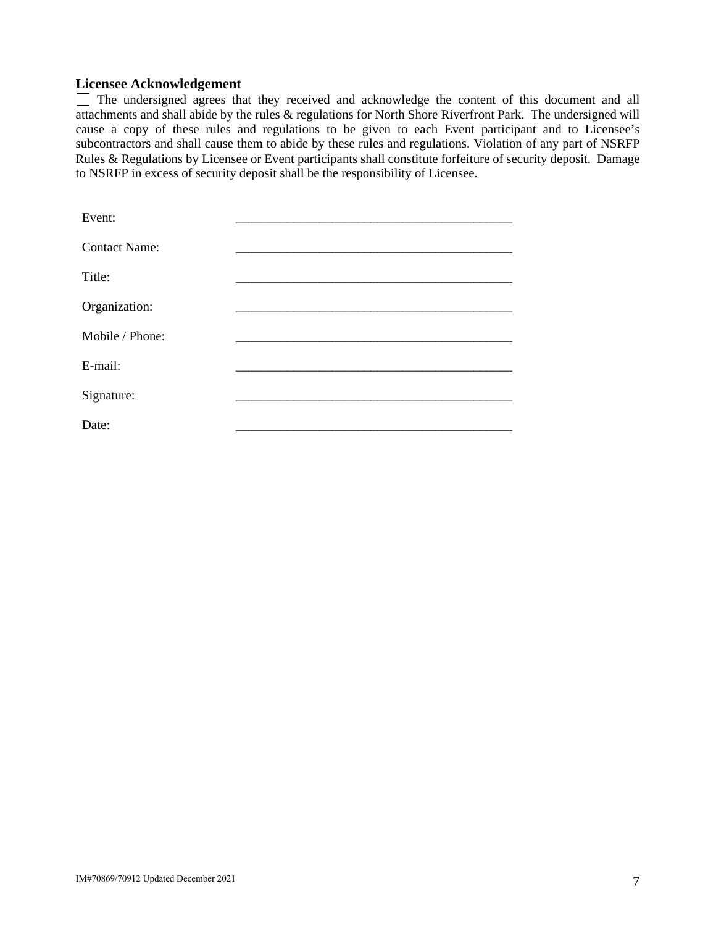## **Licensee Acknowledgement**

The undersigned agrees that they received and acknowledge the content of this document and all attachments and shall abide by the rules & regulations for North Shore Riverfront Park. The undersigned will cause a copy of these rules and regulations to be given to each Event participant and to Licensee's subcontractors and shall cause them to abide by these rules and regulations. Violation of any part of NSRFP Rules & Regulations by Licensee or Event participants shall constitute forfeiture of security deposit. Damage to NSRFP in excess of security deposit shall be the responsibility of Licensee.

| Event:               |  |
|----------------------|--|
| <b>Contact Name:</b> |  |
| Title:               |  |
| Organization:        |  |
| Mobile / Phone:      |  |
| E-mail:              |  |
| Signature:           |  |
| Date:                |  |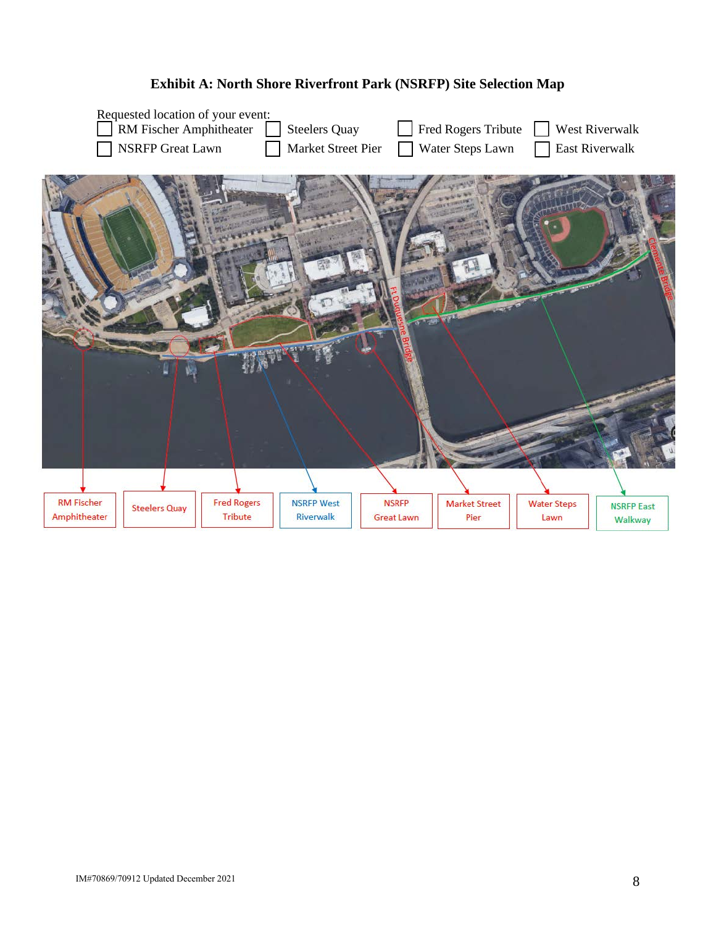

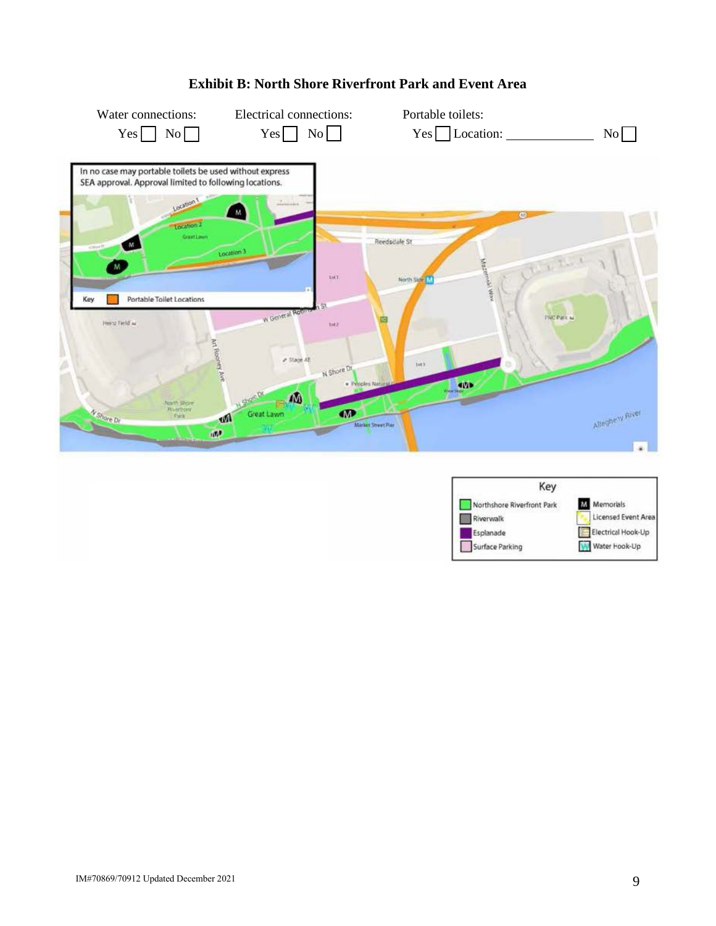

## **Exhibit B: North Shore Riverfront Park and Event Area**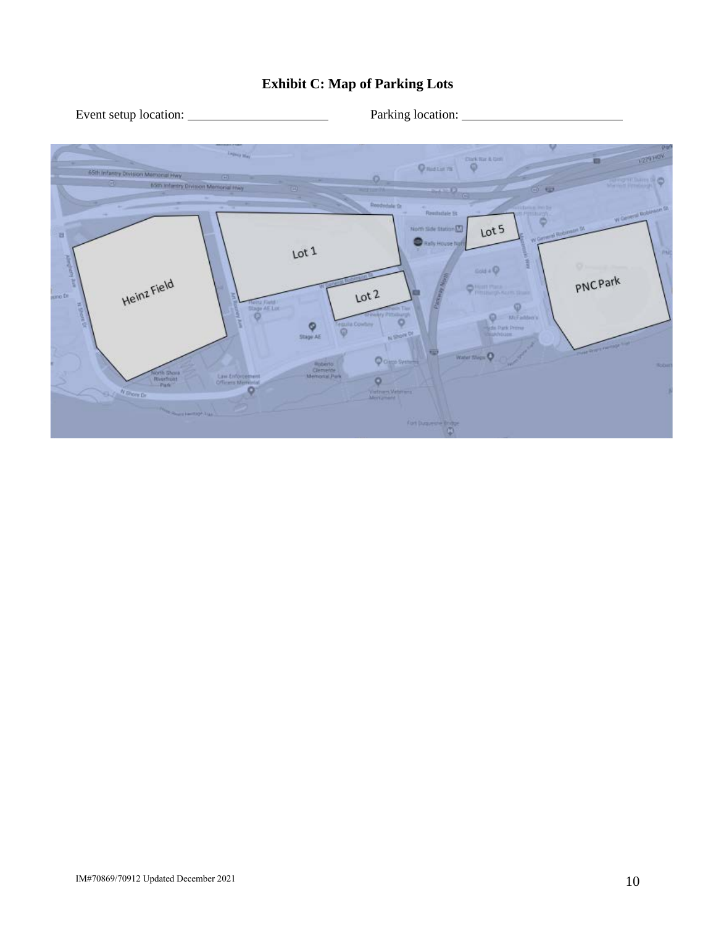# **Exhibit C: Map of Parking Lots**

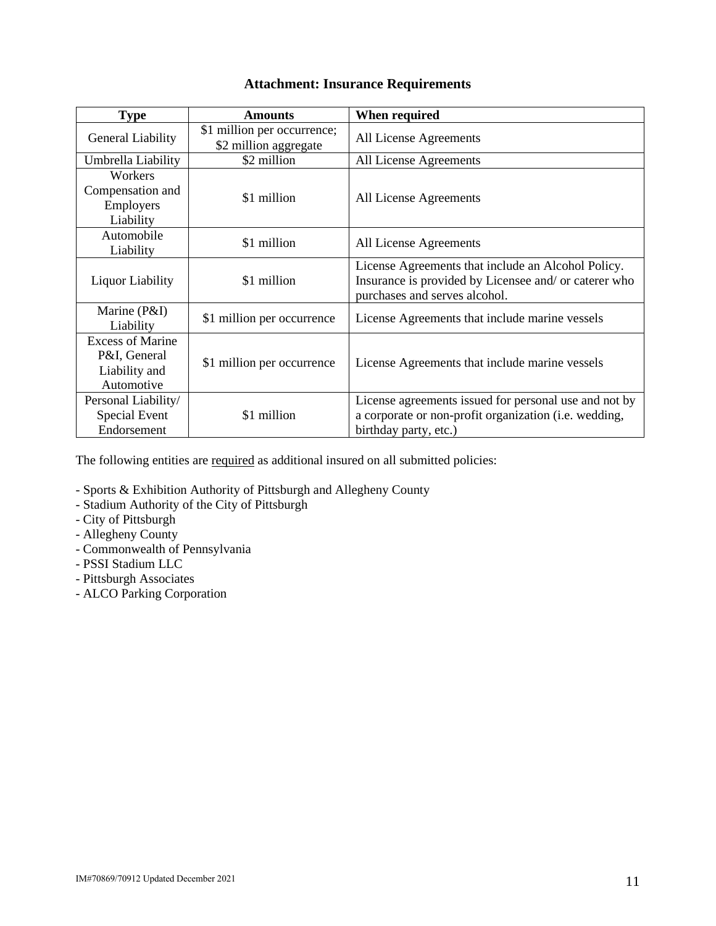## **Attachment: Insurance Requirements**

| <b>Type</b>                                                            | <b>Amounts</b>                                       | When required                                                                                                                                |  |
|------------------------------------------------------------------------|------------------------------------------------------|----------------------------------------------------------------------------------------------------------------------------------------------|--|
| General Liability                                                      | \$1 million per occurrence;<br>\$2 million aggregate | All License Agreements                                                                                                                       |  |
| Umbrella Liability                                                     | \$2 million                                          | All License Agreements                                                                                                                       |  |
| Workers<br>Compensation and<br>Employers<br>Liability                  | \$1 million                                          | All License Agreements                                                                                                                       |  |
| Automobile<br>Liability                                                | \$1 million                                          | All License Agreements                                                                                                                       |  |
| <b>Liquor Liability</b>                                                | \$1 million                                          | License Agreements that include an Alcohol Policy.<br>Insurance is provided by Licensee and/ or caterer who<br>purchases and serves alcohol. |  |
| Marine (P&I)<br>Liability                                              | \$1 million per occurrence                           | License Agreements that include marine vessels                                                                                               |  |
| <b>Excess of Marine</b><br>P&I, General<br>Liability and<br>Automotive | \$1 million per occurrence                           | License Agreements that include marine vessels                                                                                               |  |
| Personal Liability/<br>Special Event<br>Endorsement                    | \$1 million                                          | License agreements issued for personal use and not by<br>a corporate or non-profit organization (i.e. wedding,<br>birthday party, etc.)      |  |

The following entities are required as additional insured on all submitted policies:

- Sports & Exhibition Authority of Pittsburgh and Allegheny County
- Stadium Authority of the City of Pittsburgh
- City of Pittsburgh
- Allegheny County
- Commonwealth of Pennsylvania
- PSSI Stadium LLC
- Pittsburgh Associates
- ALCO Parking Corporation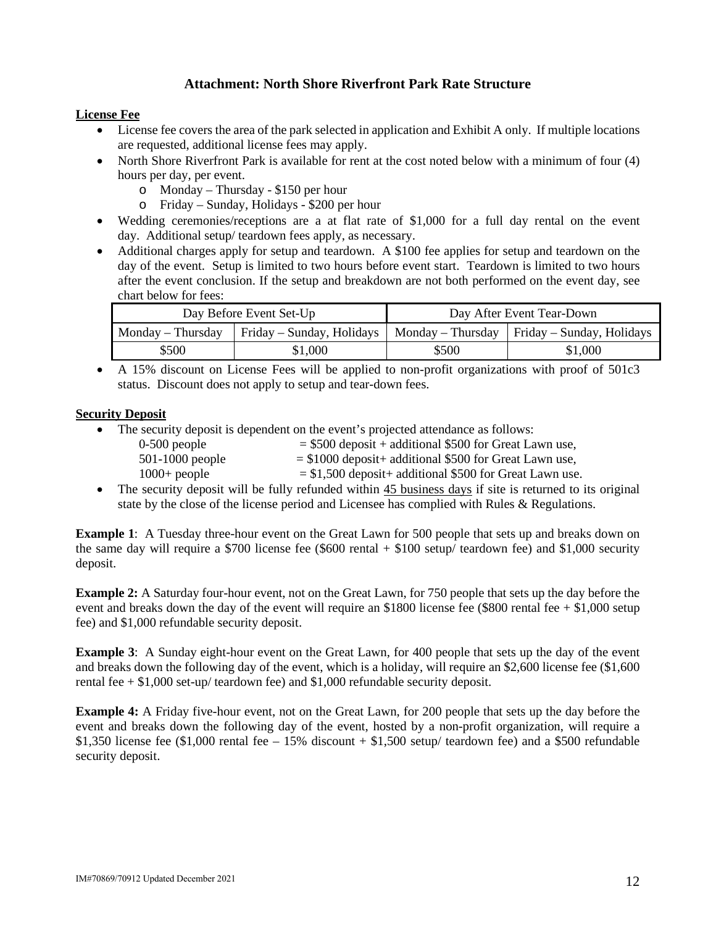## **Attachment: North Shore Riverfront Park Rate Structure**

#### **License Fee**

- License fee covers the area of the park selected in application and Exhibit A only. If multiple locations are requested, additional license fees may apply.
- North Shore Riverfront Park is available for rent at the cost noted below with a minimum of four (4) hours per day, per event.
	- o Monday Thursday \$150 per hour
	- o Friday Sunday, Holidays \$200 per hour
- Wedding ceremonies/receptions are a at flat rate of \$1,000 for a full day rental on the event day. Additional setup/ teardown fees apply, as necessary.
- Additional charges apply for setup and teardown. A \$100 fee applies for setup and teardown on the day of the event. Setup is limited to two hours before event start. Teardown is limited to two hours after the event conclusion. If the setup and breakdown are not both performed on the event day, see chart below for fees:

| Day Before Event Set-Up |                                               | Day After Event Tear-Down |                                   |  |
|-------------------------|-----------------------------------------------|---------------------------|-----------------------------------|--|
| Monday – Thursday       | Friday – Sunday, Holidays   Monday – Thursday |                           | $\vert$ Friday – Sunday, Holidays |  |
| \$500                   | \$1,000                                       | \$500                     | \$1,000                           |  |

• A 15% discount on License Fees will be applied to non-profit organizations with proof of 501c3 status. Discount does not apply to setup and tear-down fees.

#### **Security Deposit**

- The security deposit is dependent on the event's projected attendance as follows:
	- $0-500$  people  $= $500$  deposit + additional \$500 for Great Lawn use,
	- $501-1000$  people  $= $1000$  deposit + additional \$500 for Great Lawn use,
	- $1000+$  people  $= $1,500$  deposit additional \$500 for Great Lawn use.
- The security deposit will be fully refunded within 45 business days if site is returned to its original state by the close of the license period and Licensee has complied with Rules & Regulations.

**Example 1**: A Tuesday three-hour event on the Great Lawn for 500 people that sets up and breaks down on the same day will require a \$700 license fee (\$600 rental + \$100 setup/ teardown fee) and \$1,000 security deposit.

**Example 2:** A Saturday four-hour event, not on the Great Lawn, for 750 people that sets up the day before the event and breaks down the day of the event will require an \$1800 license fee (\$800 rental fee  $+$  \$1,000 setup fee) and \$1,000 refundable security deposit.

**Example 3**: A Sunday eight-hour event on the Great Lawn, for 400 people that sets up the day of the event and breaks down the following day of the event, which is a holiday, will require an \$2,600 license fee (\$1,600 rental fee  $+$  \$1,000 set-up/ teardown fee) and \$1,000 refundable security deposit.

**Example 4:** A Friday five-hour event, not on the Great Lawn, for 200 people that sets up the day before the event and breaks down the following day of the event, hosted by a non-profit organization, will require a \$1,350 license fee (\$1,000 rental fee – 15% discount + \$1,500 setup/ teardown fee) and a \$500 refundable security deposit.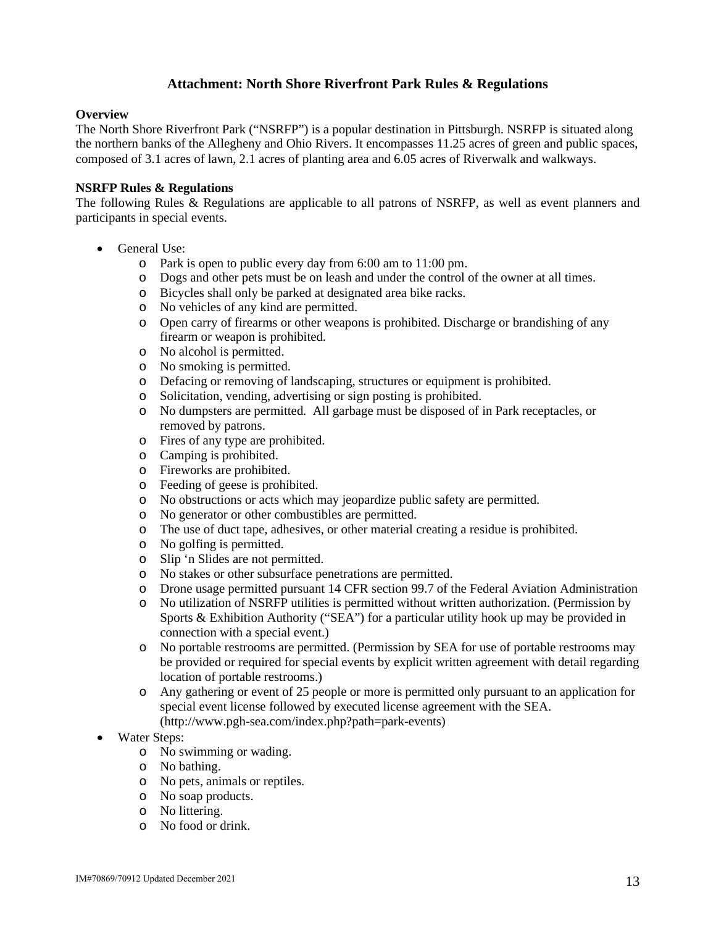## **Attachment: North Shore Riverfront Park Rules & Regulations**

#### **Overview**

The North Shore Riverfront Park ("NSRFP") is a popular destination in Pittsburgh. NSRFP is situated along the northern banks of the Allegheny and Ohio Rivers. It encompasses 11.25 acres of green and public spaces, composed of 3.1 acres of lawn, 2.1 acres of planting area and 6.05 acres of Riverwalk and walkways.

#### **NSRFP Rules & Regulations**

The following Rules & Regulations are applicable to all patrons of NSRFP, as well as event planners and participants in special events.

- General Use:
	- o Park is open to public every day from 6:00 am to 11:00 pm.
	- o Dogs and other pets must be on leash and under the control of the owner at all times.
	- o Bicycles shall only be parked at designated area bike racks.
	- o No vehicles of any kind are permitted.
	- o Open carry of firearms or other weapons is prohibited. Discharge or brandishing of any firearm or weapon is prohibited.
	- o No alcohol is permitted.
	- o No smoking is permitted.
	- o Defacing or removing of landscaping, structures or equipment is prohibited.
	- o Solicitation, vending, advertising or sign posting is prohibited.
	- o No dumpsters are permitted. All garbage must be disposed of in Park receptacles, or removed by patrons.
	- o Fires of any type are prohibited.
	- o Camping is prohibited.
	- o Fireworks are prohibited.
	- o Feeding of geese is prohibited.
	- o No obstructions or acts which may jeopardize public safety are permitted.
	- o No generator or other combustibles are permitted.
	- o The use of duct tape, adhesives, or other material creating a residue is prohibited.
	- o No golfing is permitted.
	- o Slip 'n Slides are not permitted.
	- o No stakes or other subsurface penetrations are permitted.
	- o Drone usage permitted pursuant 14 CFR section 99.7 of the Federal Aviation Administration
	- o No utilization of NSRFP utilities is permitted without written authorization. (Permission by Sports & Exhibition Authority ("SEA") for a particular utility hook up may be provided in connection with a special event.)
	- o No portable restrooms are permitted. (Permission by SEA for use of portable restrooms may be provided or required for special events by explicit written agreement with detail regarding location of portable restrooms.)
	- o Any gathering or event of 25 people or more is permitted only pursuant to an application for special event license followed by executed license agreement with the SEA. (http://www.pgh-sea.com/index.php?path=park-events)
- Water Steps:
	- o No swimming or wading.
	- o No bathing.
	- o No pets, animals or reptiles.
	- o No soap products.
	- o No littering.
	- o No food or drink.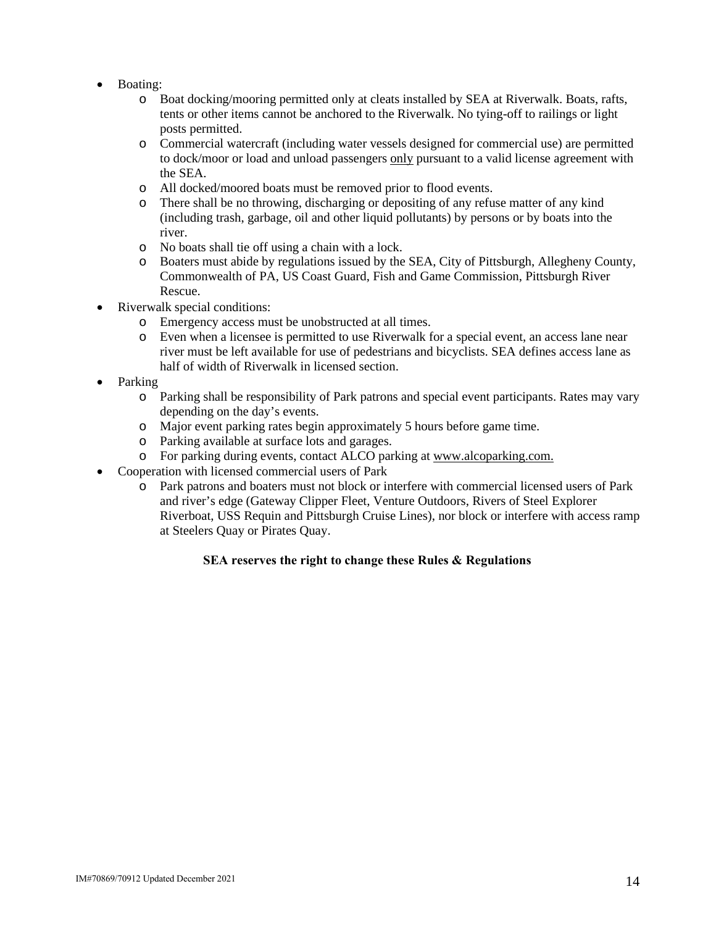- Boating:
	- o Boat docking/mooring permitted only at cleats installed by SEA at Riverwalk. Boats, rafts, tents or other items cannot be anchored to the Riverwalk. No tying-off to railings or light posts permitted.
	- o Commercial watercraft (including water vessels designed for commercial use) are permitted to dock/moor or load and unload passengers only pursuant to a valid license agreement with the SEA.
	- o All docked/moored boats must be removed prior to flood events.
	- o There shall be no throwing, discharging or depositing of any refuse matter of any kind (including trash, garbage, oil and other liquid pollutants) by persons or by boats into the river.
	- o No boats shall tie off using a chain with a lock.
	- o Boaters must abide by regulations issued by the SEA, City of Pittsburgh, Allegheny County, Commonwealth of PA, US Coast Guard, Fish and Game Commission, Pittsburgh River Rescue.
- Riverwalk special conditions:
	- o Emergency access must be unobstructed at all times.
	- o Even when a licensee is permitted to use Riverwalk for a special event, an access lane near river must be left available for use of pedestrians and bicyclists. SEA defines access lane as half of width of Riverwalk in licensed section.
- Parking
	- o Parking shall be responsibility of Park patrons and special event participants. Rates may vary depending on the day's events.
	- o Major event parking rates begin approximately 5 hours before game time.
	- o Parking available at surface lots and garages.
	- o For parking during events, contact ALCO parking at [www.alcoparking.com.](http://www.alcoparking.com/)
- Cooperation with licensed commercial users of Park
	- o Park patrons and boaters must not block or interfere with commercial licensed users of Park and river's edge (Gateway Clipper Fleet, Venture Outdoors, Rivers of Steel Explorer Riverboat, USS Requin and Pittsburgh Cruise Lines), nor block or interfere with access ramp at Steelers Quay or Pirates Quay.

## **SEA reserves the right to change these Rules & Regulations**